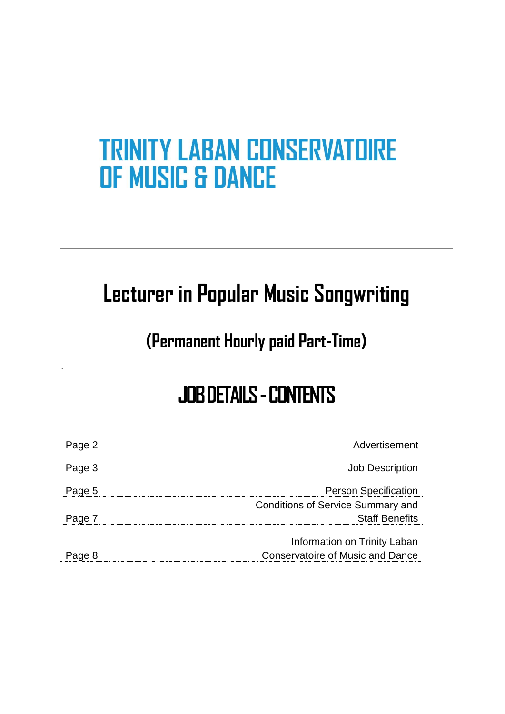# **Lecturer in Popular Music Songwriting**

## **(Permanent Hourly paid Part-Time)**

.

## **JOB DETAILS -CONTENTS**

| Page 2 | Advertisement                            |
|--------|------------------------------------------|
|        |                                          |
| Page 3 | <b>Job Description</b>                   |
| Page 5 | <b>Person Specification</b>              |
|        | <b>Conditions of Service Summary and</b> |
| Page 7 | <b>Staff Benefits</b>                    |
|        | Information on Trinity Laban             |
| Page 8 | <b>Conservatoire of Music and Dance</b>  |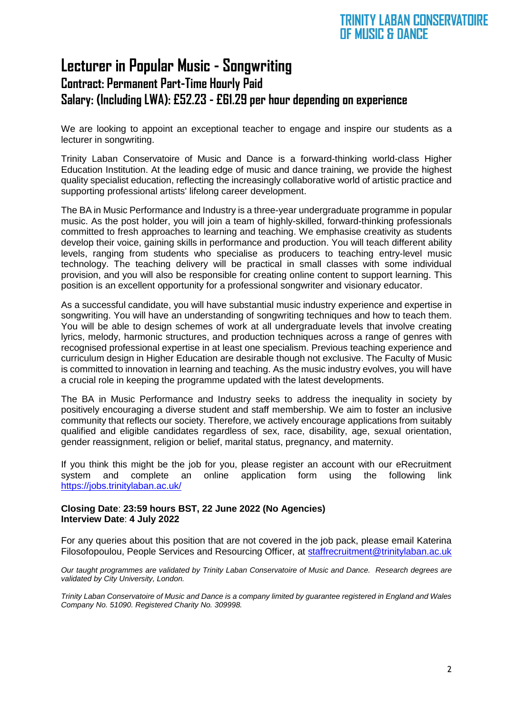#### **Lecturer in Popular Music - Songwriting Contract: Permanent Part-Time Hourly Paid Salary: (Including LWA): £52.23 - £61.29 per hour depending on experience**

We are looking to appoint an exceptional teacher to engage and inspire our students as a lecturer in songwriting.

Trinity Laban Conservatoire of Music and Dance is a forward-thinking world-class Higher Education Institution. At the leading edge of music and dance training, we provide the highest quality specialist education, reflecting the increasingly collaborative world of artistic practice and supporting professional artists' lifelong career development.

The BA in Music Performance and Industry is a three-year undergraduate programme in popular music. As the post holder, you will join a team of highly-skilled, forward-thinking professionals committed to fresh approaches to learning and teaching. We emphasise creativity as students develop their voice, gaining skills in performance and production. You will teach different ability levels, ranging from students who specialise as producers to teaching entry-level music technology. The teaching delivery will be practical in small classes with some individual provision, and you will also be responsible for creating online content to support learning. This position is an excellent opportunity for a professional songwriter and visionary educator.

As a successful candidate, you will have substantial music industry experience and expertise in songwriting. You will have an understanding of songwriting techniques and how to teach them. You will be able to design schemes of work at all undergraduate levels that involve creating lyrics, melody, harmonic structures, and production techniques across a range of genres with recognised professional expertise in at least one specialism. Previous teaching experience and curriculum design in Higher Education are desirable though not exclusive. The Faculty of Music is committed to innovation in learning and teaching. As the music industry evolves, you will have a crucial role in keeping the programme updated with the latest developments.

The BA in Music Performance and Industry seeks to address the inequality in society by positively encouraging a diverse student and staff membership. We aim to foster an inclusive community that reflects our society. Therefore, we actively encourage applications from suitably qualified and eligible candidates regardless of sex, race, disability, age, sexual orientation, gender reassignment, religion or belief, marital status, pregnancy, and maternity.

If you think this might be the job for you, please register an account with our eRecruitment system and complete an online application form using the following link <https://jobs.trinitylaban.ac.uk/>

#### **Closing Date**: **23:59 hours BST, 22 June 2022 (No Agencies) Interview Date**: **4 July 2022**

For any queries about this position that are not covered in the job pack, please email Katerina Filosofopoulou, People Services and Resourcing Officer, at [staffrecruitment@trinitylaban.ac.uk](mailto:staffrecruitment@trinitylaban.ac.uk)

*Our taught programmes are validated by Trinity Laban Conservatoire of Music and Dance. Research degrees are validated by City University, London.*

*Trinity Laban Conservatoire of Music and Dance is a company limited by guarantee registered in England and Wales Company No. 51090. Registered Charity No. 309998.*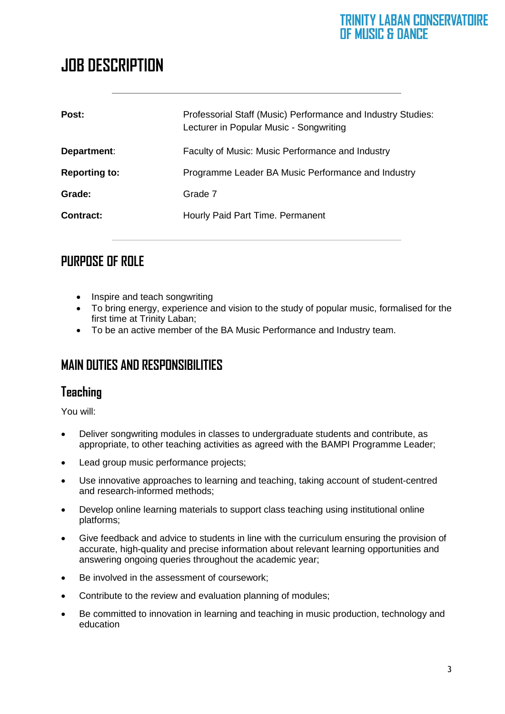### **JOB DESCRIPTION**

| Post:                | Professorial Staff (Music) Performance and Industry Studies:<br>Lecturer in Popular Music - Songwriting |
|----------------------|---------------------------------------------------------------------------------------------------------|
| Department:          | Faculty of Music: Music Performance and Industry                                                        |
| <b>Reporting to:</b> | Programme Leader BA Music Performance and Industry                                                      |
| Grade:               | Grade 7                                                                                                 |
| <b>Contract:</b>     | Hourly Paid Part Time. Permanent                                                                        |
|                      |                                                                                                         |

#### **PURPOSE OF ROLE**

- Inspire and teach songwriting
- To bring energy, experience and vision to the study of popular music, formalised for the first time at Trinity Laban;
- To be an active member of the BA Music Performance and Industry team.

#### **MAIN DUTIES AND RESPONSIBILITIES**

#### **Teaching**

You will:

- Deliver songwriting modules in classes to undergraduate students and contribute, as appropriate, to other teaching activities as agreed with the BAMPI Programme Leader;
- Lead group music performance projects;
- Use innovative approaches to learning and teaching, taking account of student-centred and research-informed methods;
- Develop online learning materials to support class teaching using institutional online platforms;
- Give feedback and advice to students in line with the curriculum ensuring the provision of accurate, high-quality and precise information about relevant learning opportunities and answering ongoing queries throughout the academic year;
- Be involved in the assessment of coursework;
- Contribute to the review and evaluation planning of modules;
- Be committed to innovation in learning and teaching in music production, technology and education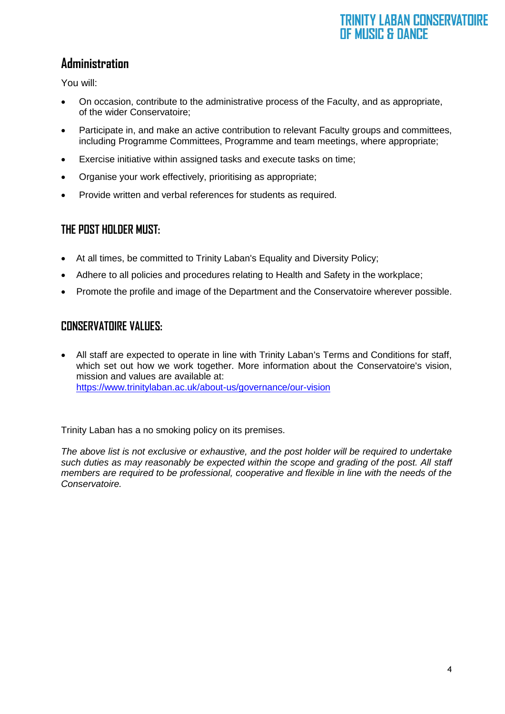#### **Administration**

You will:

- On occasion, contribute to the administrative process of the Faculty, and as appropriate, of the wider Conservatoire;
- Participate in, and make an active contribution to relevant Faculty groups and committees, including Programme Committees, Programme and team meetings, where appropriate;
- Exercise initiative within assigned tasks and execute tasks on time;
- Organise your work effectively, prioritising as appropriate;
- Provide written and verbal references for students as required.

#### **THE POST HOLDER MUST:**

- At all times, be committed to Trinity Laban's Equality and Diversity Policy:
- Adhere to all policies and procedures relating to Health and Safety in the workplace;
- Promote the profile and image of the Department and the Conservatoire wherever possible.

#### **CONSERVATOIRE VALUES:**

• All staff are expected to operate in line with Trinity Laban's Terms and Conditions for staff, which set out how we work together. More information about the Conservatoire's vision, mission and values are available at: <https://www.trinitylaban.ac.uk/about-us/governance/our-vision>

Trinity Laban has a no smoking policy on its premises.

*The above list is not exclusive or exhaustive, and the post holder will be required to undertake such duties as may reasonably be expected within the scope and grading of the post. All staff members are required to be professional, cooperative and flexible in line with the needs of the Conservatoire.*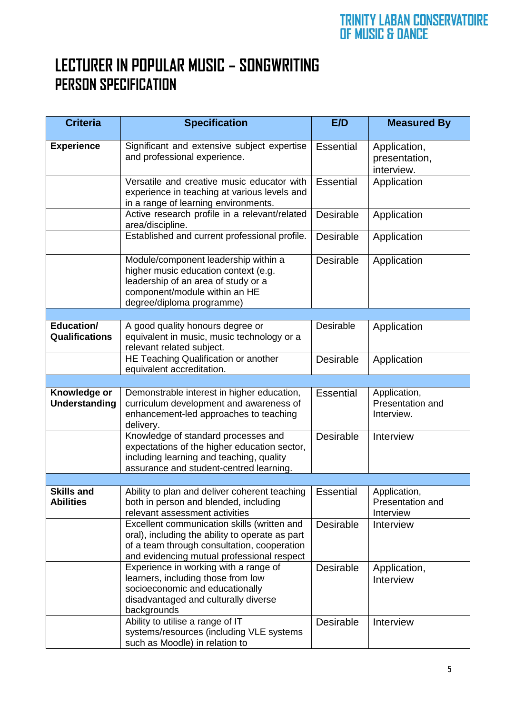### **LECTURER IN POPULAR MUSIC – SONGWRITING PERSON SPECIFICATION**

| <b>Criteria</b>                       | <b>Specification</b>                                                                                                                                                                        | E/D              | <b>Measured By</b>                             |
|---------------------------------------|---------------------------------------------------------------------------------------------------------------------------------------------------------------------------------------------|------------------|------------------------------------------------|
| <b>Experience</b>                     | Significant and extensive subject expertise<br>and professional experience.                                                                                                                 | <b>Essential</b> | Application,<br>presentation,<br>interview.    |
|                                       | Versatile and creative music educator with<br>experience in teaching at various levels and<br>in a range of learning environments.                                                          | <b>Essential</b> | Application                                    |
|                                       | Active research profile in a relevant/related<br>area/discipline.                                                                                                                           | <b>Desirable</b> | Application                                    |
|                                       | Established and current professional profile.                                                                                                                                               | Desirable        | Application                                    |
|                                       | Module/component leadership within a<br>higher music education context (e.g.<br>leadership of an area of study or a<br>component/module within an HE<br>degree/diploma programme)           | Desirable        | Application                                    |
|                                       |                                                                                                                                                                                             |                  |                                                |
| Education/<br>Qualifications          | A good quality honours degree or<br>equivalent in music, music technology or a<br>relevant related subject.                                                                                 | Desirable        | Application                                    |
|                                       | HE Teaching Qualification or another<br>equivalent accreditation.                                                                                                                           | Desirable        | Application                                    |
|                                       |                                                                                                                                                                                             |                  |                                                |
| Knowledge or<br><b>Understanding</b>  | Demonstrable interest in higher education,<br>curriculum development and awareness of<br>enhancement-led approaches to teaching<br>delivery.                                                | <b>Essential</b> | Application,<br>Presentation and<br>Interview. |
|                                       | Knowledge of standard processes and<br>expectations of the higher education sector,<br>including learning and teaching, quality<br>assurance and student-centred learning.                  | Desirable        | Interview                                      |
|                                       |                                                                                                                                                                                             |                  |                                                |
| <b>Skills and</b><br><b>Abilities</b> | Ability to plan and deliver coherent teaching<br>both in person and blended, including<br>relevant assessment activities                                                                    | <b>Essential</b> | Application,<br>Presentation and<br>Interview  |
|                                       | Excellent communication skills (written and<br>oral), including the ability to operate as part<br>of a team through consultation, cooperation<br>and evidencing mutual professional respect | Desirable        | Interview                                      |
|                                       | Experience in working with a range of<br>learners, including those from low<br>socioeconomic and educationally<br>disadvantaged and culturally diverse<br>backgrounds                       | Desirable        | Application,<br>Interview                      |
|                                       | Ability to utilise a range of IT<br>systems/resources (including VLE systems<br>such as Moodle) in relation to                                                                              | Desirable        | Interview                                      |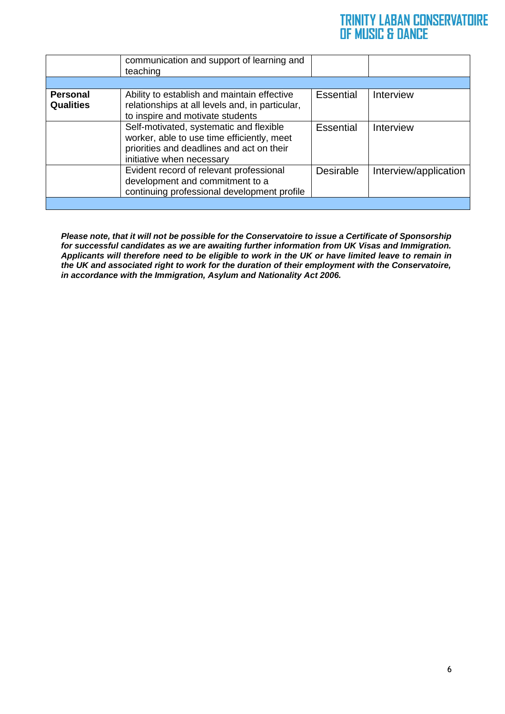|                                     | communication and support of learning and<br>teaching                                                                                                           |                  |                       |
|-------------------------------------|-----------------------------------------------------------------------------------------------------------------------------------------------------------------|------------------|-----------------------|
|                                     |                                                                                                                                                                 |                  |                       |
| <b>Personal</b><br><b>Qualities</b> | Ability to establish and maintain effective<br>relationships at all levels and, in particular,<br>to inspire and motivate students                              | <b>Essential</b> | Interview             |
|                                     | Self-motivated, systematic and flexible<br>worker, able to use time efficiently, meet<br>priorities and deadlines and act on their<br>initiative when necessary | <b>Essential</b> | Interview             |
|                                     | Evident record of relevant professional<br>development and commitment to a<br>continuing professional development profile                                       | <b>Desirable</b> | Interview/application |
|                                     |                                                                                                                                                                 |                  |                       |

*Please note, that it will not be possible for the Conservatoire to issue a Certificate of Sponsorship for successful candidates as we are awaiting further information from UK Visas and Immigration. Applicants will therefore need to be eligible to work in the UK or have limited leave to remain in the UK and associated right to work for the duration of their employment with the Conservatoire, in accordance with the Immigration, Asylum and Nationality Act 2006.*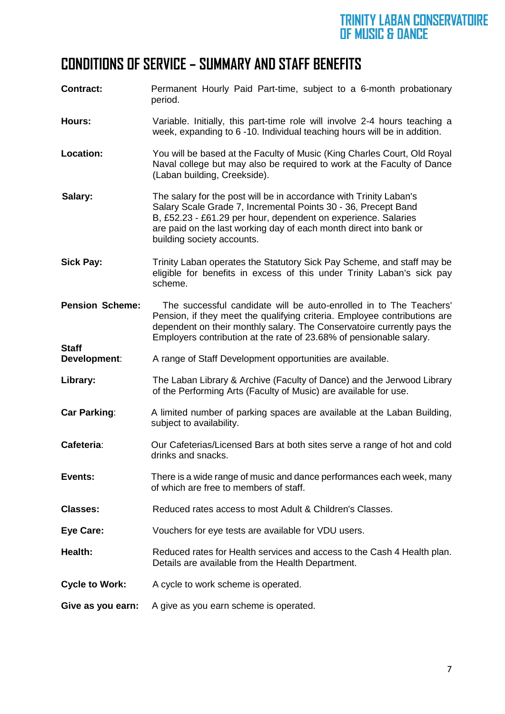#### **CONDITIONS OF SERVICE – SUMMARY AND STAFF BENEFITS**

- **Contract:** Permanent Hourly Paid Part-time, subject to a 6-month probationary period.
- **Hours:** Variable. Initially, this part-time role will involve 2-4 hours teaching a week, expanding to 6 -10. Individual teaching hours will be in addition.
- **Location:** You will be based at the Faculty of Music (King Charles Court, Old Royal Naval college but may also be required to work at the Faculty of Dance (Laban building, Creekside).
- **Salary:** The salary for the post will be in accordance with Trinity Laban's Salary Scale Grade 7, Incremental Points 30 - 36, Precept Band B, £52.23 - £61.29 per hour, dependent on experience. Salaries are paid on the last working day of each month direct into bank or building society accounts.
- **Sick Pay:** Trinity Laban operates the Statutory Sick Pay Scheme, and staff may be eligible for benefits in excess of this under Trinity Laban's sick pay scheme.
- **Pension Scheme:** The successful candidate will be auto-enrolled in to The Teachers' Pension, if they meet the qualifying criteria. Employee contributions are dependent on their monthly salary. The Conservatoire currently pays the Employers contribution at the rate of 23.68% of pensionable salary.

**Staff** 

**Development**: A range of Staff Development opportunities are available.

- **Library:** The Laban Library & Archive (Faculty of Dance) and the Jerwood Library of the Performing Arts (Faculty of Music) are available for use.
- **Car Parking:** A limited number of parking spaces are available at the Laban Building, subject to availability.
- **Cafeteria**: Our Cafeterias/Licensed Bars at both sites serve a range of hot and cold drinks and snacks.
- **Events:** There is a wide range of music and dance performances each week, many of which are free to members of staff.
- **Classes:** Reduced rates access to most Adult & Children's Classes.
- **Eye Care:** Vouchers for eye tests are available for VDU users.
- **Health:** Reduced rates for Health services and access to the Cash 4 Health plan. Details are available from the Health Department.
- **Cycle to Work:** A cycle to work scheme is operated.
- **Give as you earn:** A give as you earn scheme is operated.